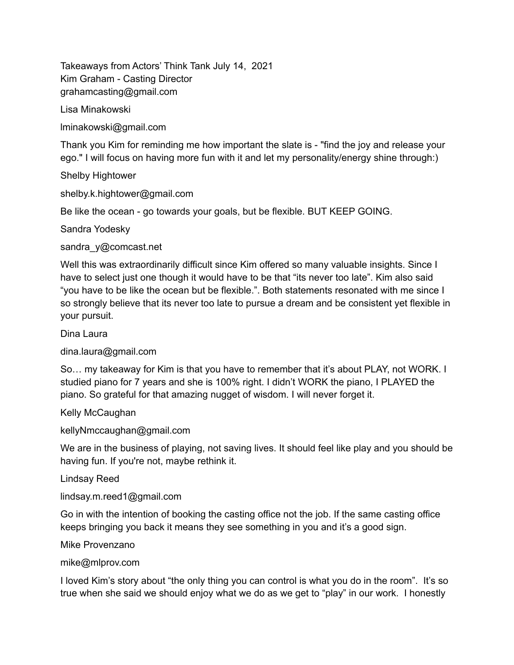Takeaways from Actors' Think Tank July 14, 2021 Kim Graham - Casting Director grahamcasting@gmail.com

Lisa Minakowski

lminakowski@gmail.com

Thank you Kim for reminding me how important the slate is - "find the joy and release your ego." I will focus on having more fun with it and let my personality/energy shine through:)

Shelby Hightower

shelby.k.hightower@gmail.com

Be like the ocean - go towards your goals, but be flexible. BUT KEEP GOING.

Sandra Yodesky

sandra\_y@comcast.net

Well this was extraordinarily difficult since Kim offered so many valuable insights. Since I have to select just one though it would have to be that "its never too late". Kim also said "you have to be like the ocean but be flexible.". Both statements resonated with me since I so strongly believe that its never too late to pursue a dream and be consistent yet flexible in your pursuit.

Dina Laura

dina.laura@gmail.com

So… my takeaway for Kim is that you have to remember that it's about PLAY, not WORK. I studied piano for 7 years and she is 100% right. I didn't WORK the piano, I PLAYED the piano. So grateful for that amazing nugget of wisdom. I will never forget it.

Kelly McCaughan

kellyNmccaughan@gmail.com

We are in the business of playing, not saving lives. It should feel like play and you should be having fun. If you're not, maybe rethink it.

Lindsay Reed

lindsay.m.reed1@gmail.com

Go in with the intention of booking the casting office not the job. If the same casting office keeps bringing you back it means they see something in you and it's a good sign.

Mike Provenzano

mike@mlprov.com

I loved Kim's story about "the only thing you can control is what you do in the room". It's so true when she said we should enjoy what we do as we get to "play" in our work. I honestly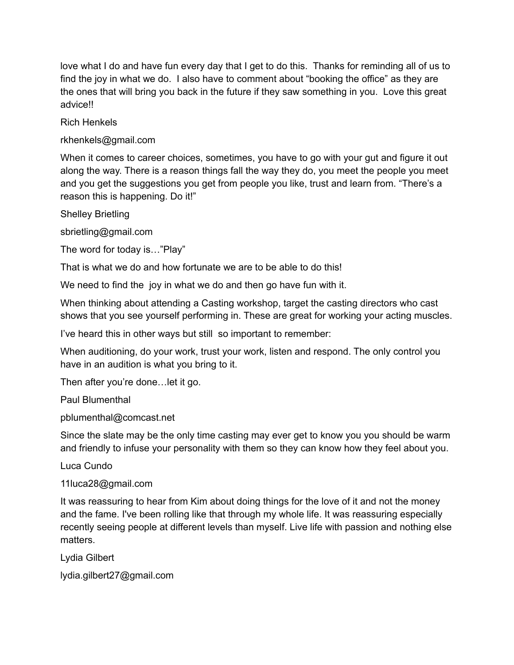love what I do and have fun every day that I get to do this. Thanks for reminding all of us to find the joy in what we do. I also have to comment about "booking the office" as they are the ones that will bring you back in the future if they saw something in you. Love this great advice!!

Rich Henkels

rkhenkels@gmail.com

When it comes to career choices, sometimes, you have to go with your gut and figure it out along the way. There is a reason things fall the way they do, you meet the people you meet and you get the suggestions you get from people you like, trust and learn from. "There's a reason this is happening. Do it!"

Shelley Brietling

sbrietling@gmail.com

The word for today is…"Play"

That is what we do and how fortunate we are to be able to do this!

We need to find the joy in what we do and then go have fun with it.

When thinking about attending a Casting workshop, target the casting directors who cast shows that you see yourself performing in. These are great for working your acting muscles.

I've heard this in other ways but still so important to remember:

When auditioning, do your work, trust your work, listen and respond. The only control you have in an audition is what you bring to it.

Then after you're done…let it go.

Paul Blumenthal

pblumenthal@comcast.net

Since the slate may be the only time casting may ever get to know you you should be warm and friendly to infuse your personality with them so they can know how they feel about you.

Luca Cundo

11luca28@gmail.com

It was reassuring to hear from Kim about doing things for the love of it and not the money and the fame. I've been rolling like that through my whole life. It was reassuring especially recently seeing people at different levels than myself. Live life with passion and nothing else matters.

Lydia Gilbert

lydia.gilbert27@gmail.com